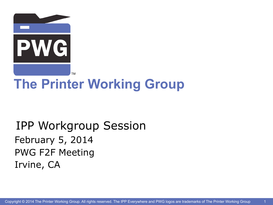

# **The Printer Working Group**

### IPP Workgroup Session February 5, 2014 PWG F2F Meeting Irvine, CA

1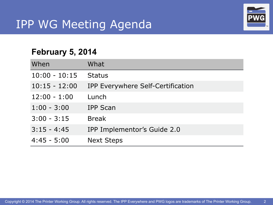# IPP WG Meeting Agenda



2

#### **February 5, 2014**

| When            | What                              |
|-----------------|-----------------------------------|
| $10:00 - 10:15$ | <b>Status</b>                     |
| $10:15 - 12:00$ | IPP Everywhere Self-Certification |
| $12:00 - 1:00$  | Lunch                             |
| $1:00 - 3:00$   | <b>IPP Scan</b>                   |
| $3:00 - 3:15$   | <b>Break</b>                      |
| $3:15 - 4:45$   | IPP Implementor's Guide 2.0       |
| $4:45 - 5:00$   | <b>Next Steps</b>                 |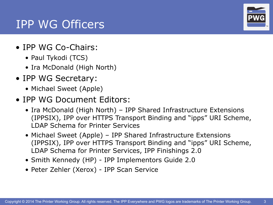#### IPP WG Officers

- IPP WG Co-Chairs:
	- Paul Tykodi (TCS)
	- Ira McDonald (High North)
- IPP WG Secretary:
	- Michael Sweet (Apple)
- IPP WG Document Editors:
	- Ira McDonald (High North) IPP Shared Infrastructure Extensions (IPPSIX), IPP over HTTPS Transport Binding and "ipps" URI Scheme, LDAP Schema for Printer Services
	- Michael Sweet (Apple) IPP Shared Infrastructure Extensions (IPPSIX), IPP over HTTPS Transport Binding and "ipps" URI Scheme, LDAP Schema for Printer Services, IPP Finishings 2.0
	- Smith Kennedy (HP) IPP Implementors Guide 2.0
	- Peter Zehler (Xerox) IPP Scan Service



3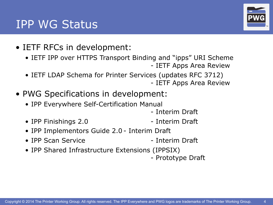### IPP WG Status

- IETF RFCs in development:
	- IETF IPP over HTTPS Transport Binding and "ipps" URI Scheme - IETF Apps Area Review
	- IETF LDAP Schema for Printer Services (updates RFC 3712) - IETF Apps Area Review
- PWG Specifications in development:
	- IPP Everywhere Self-Certification Manual
		- Interim Draft
	- IPP Finishings 2.0 Interim Draft
- - IPP Implementors Guide 2.0 Interim Draft
	- IPP Scan Service Therim Draft
	- IPP Shared Infrastructure Extensions (IPPSIX)
		- Prototype Draft

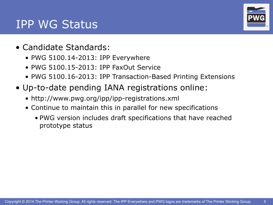

#### IPP WG Status

- Candidate Standards:
	- PWG 5100.14-2013: IPP Everywhere
	- PWG 5100.15-2013: IPP FaxOut Service
	- PWG 5100.16-2013: IPP Transaction-Based Printing Extensions
- Up-to-date pending IANA registrations online:
	- <http://www.pwg.org/ipp/ipp-registrations.xml>
	- Continue to maintain this in parallel for new specifications
		- PWG version includes draft specifications that have reached prototype status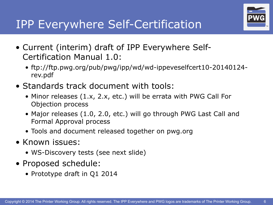

- Current (interim) draft of IPP Everywhere Self-Certification Manual 1.0:
	- ftp://ftp.pwg.org/pub/pwg/ipp/wd/wd-ippeveselfcert10-20140124 rev.pdf
- Standards track document with tools:
	- Minor releases (1.x, 2.x, etc.) will be errata with PWG Call For Objection process
	- Major releases (1.0, 2.0, etc.) will go through PWG Last Call and Formal Approval process
	- Tools and document released together on pwg.org
- Known issues:
	- WS-Discovery tests (see next slide)
- Proposed schedule:
	- Prototype draft in Q1 2014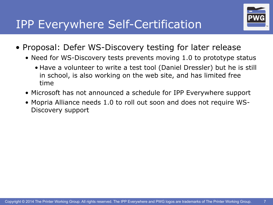

- Proposal: Defer WS-Discovery testing for later release
	- Need for WS-Discovery tests prevents moving 1.0 to prototype status
		- Have a volunteer to write a test tool (Daniel Dressler) but he is still in school, is also working on the web site, and has limited free time
	- Microsoft has not announced a schedule for IPP Everywhere support
	- Mopria Alliance needs 1.0 to roll out soon and does not require WS-Discovery support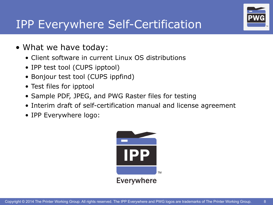

# IPP Everywhere Self-Certification

- What we have today:
	- Client software in current Linux OS distributions
	- IPP test tool (CUPS ipptool)
	- Bonjour test tool (CUPS ippfind)
	- Test files for ipptool
	- Sample PDF, JPEG, and PWG Raster files for testing
	- Interim draft of self-certification manual and license agreement
	- IPP Everywhere logo:

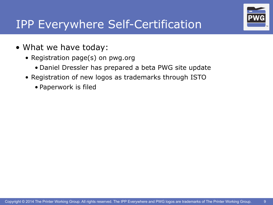

# IPP Everywhere Self-Certification

- What we have today:
	- Registration page(s) on pwg.org
		- Daniel Dressler has prepared a beta PWG site update
	- Registration of new logos as trademarks through ISTO
		- Paperwork is filed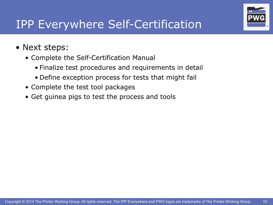

# IPP Everywhere Self-Certification

- Next steps:
	- Complete the Self-Certification Manual
		- Finalize test procedures and requirements in detail
		- Define exception process for tests that might fail
	- Complete the test tool packages
	- Get guinea pigs to test the process and tools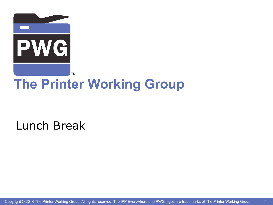

# **The Printer Working Group**

Lunch Break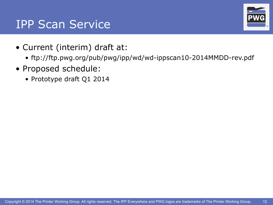### **IPP Scan Service**

- Current (interim) draft at:
	- ftp://ftp.pwg.org/pub/pwg/ipp/wd/wd-ippscan10-2014MMDD-rev.pdf
- Proposed schedule:
	- Prototype draft Q1 2014

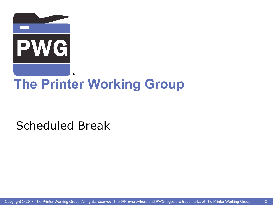

# **The Printer Working Group**

### Scheduled Break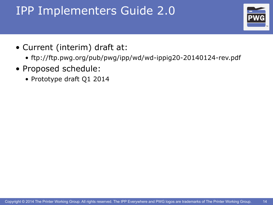# IPP Implementers Guide 2.0



- Current (interim) draft at:
	- ftp://ftp.pwg.org/pub/pwg/ipp/wd/wd-ippig20-20140124-rev.pdf
- Proposed schedule:
	- Prototype draft Q1 2014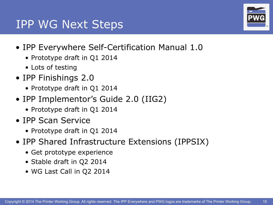#### IPP WG Next Steps

- IPP Everywhere Self-Certification Manual 1.0
	- Prototype draft in Q1 2014
	- Lots of testing
- IPP Finishings 2.0
	- Prototype draft in Q1 2014
- IPP Implementor's Guide 2.0 (IIG2)
	- Prototype draft in Q1 2014
- IPP Scan Service
	- Prototype draft in Q1 2014
- IPP Shared Infrastructure Extensions (IPPSIX)
	- Get prototype experience
	- Stable draft in Q2 2014
	- WG Last Call in Q2 2014

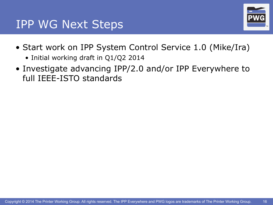#### IPP WG Next Steps



- Start work on IPP System Control Service 1.0 (Mike/Ira)
	- Initial working draft in Q1/Q2 2014
- Investigate advancing IPP/2.0 and/or IPP Everywhere to full IEEE-ISTO standards